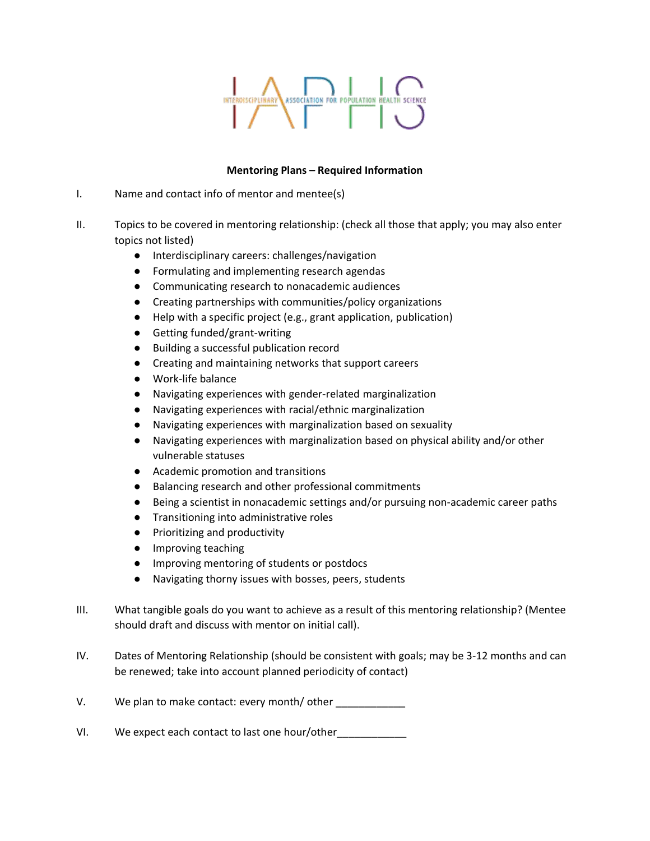## ASSOCIATION FOR POPULATION HEALTH SCIENCE INTERDISCIPLINARY

## **Mentoring Plans – Required Information**

- I. Name and contact info of mentor and mentee(s)
- II. Topics to be covered in mentoring relationship: (check all those that apply; you may also enter topics not listed)
	- Interdisciplinary careers: challenges/navigation
	- Formulating and implementing research agendas
	- Communicating research to nonacademic audiences
	- Creating partnerships with communities/policy organizations
	- Help with a specific project (e.g., grant application, publication)
	- Getting funded/grant-writing
	- Building a successful publication record
	- Creating and maintaining networks that support careers
	- Work-life balance
	- Navigating experiences with gender-related marginalization
	- Navigating experiences with racial/ethnic marginalization
	- Navigating experiences with marginalization based on sexuality
	- Navigating experiences with marginalization based on physical ability and/or other vulnerable statuses
	- Academic promotion and transitions
	- Balancing research and other professional commitments
	- Being a scientist in nonacademic settings and/or pursuing non-academic career paths
	- Transitioning into administrative roles
	- Prioritizing and productivity
	- Improving teaching
	- Improving mentoring of students or postdocs
	- Navigating thorny issues with bosses, peers, students
- III. What tangible goals do you want to achieve as a result of this mentoring relationship? (Mentee should draft and discuss with mentor on initial call).
- IV. Dates of Mentoring Relationship (should be consistent with goals; may be 3-12 months and can be renewed; take into account planned periodicity of contact)
- V. We plan to make contact: every month/other
- VI. We expect each contact to last one hour/other